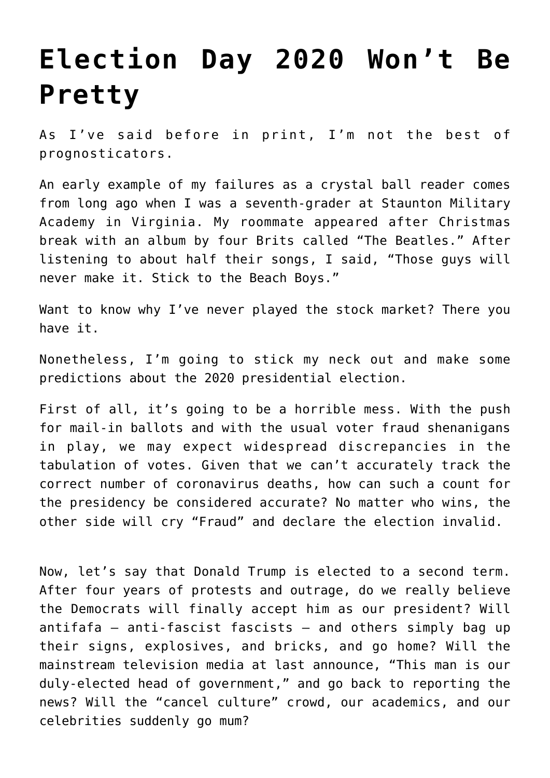## **[Election Day 2020 Won't Be](https://intellectualtakeout.org/2020/08/election-day-2020-wont-be-pretty/) [Pretty](https://intellectualtakeout.org/2020/08/election-day-2020-wont-be-pretty/)**

As I've said before in print, I'm not the best of prognosticators.

An early example of my failures as a crystal ball reader comes from long ago when I was a seventh-grader at Staunton Military Academy in Virginia. My roommate appeared after Christmas break with an album by four Brits called "The Beatles." After listening to about half their songs, I said, "Those guys will never make it. Stick to the Beach Boys."

Want to know why I've never played the stock market? There you have it.

Nonetheless, I'm going to stick my neck out and make some predictions about the 2020 presidential election.

First of all, it's going to be a horrible mess. With the push for mail-in ballots and with the usual voter fraud shenanigans in play, we may expect widespread discrepancies in the tabulation of votes. Given that we can't accurately track the correct number of coronavirus deaths, how can such a count for the presidency be considered accurate? No matter who wins, the other side will cry "Fraud" and declare the election invalid.

Now, let's say that Donald Trump is elected to a second term. After four years of protests and outrage, do we really believe the Democrats will finally accept him as our president? Will antifafa – anti-fascist fascists – and others simply bag up their signs, explosives, and bricks, and go home? Will the mainstream television media at last announce, "This man is our duly-elected head of government," and go back to reporting the news? Will the "cancel culture" crowd, our academics, and our celebrities suddenly go mum?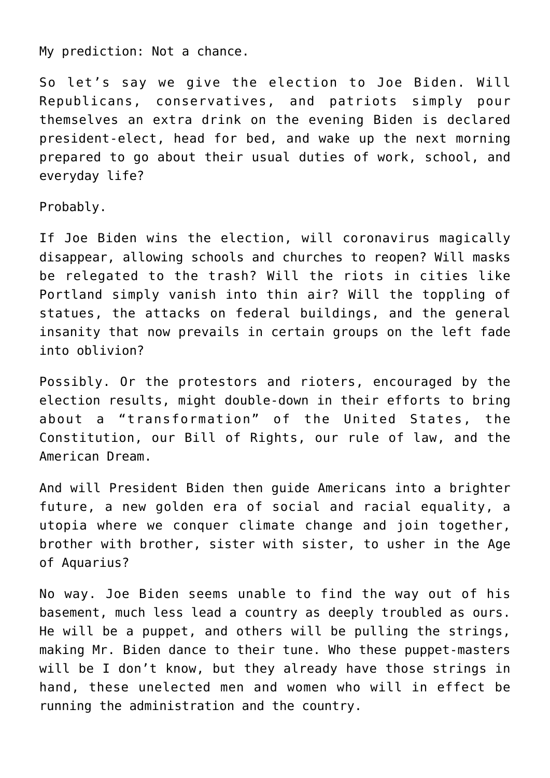My prediction: Not a chance.

So let's say we give the election to Joe Biden. Will Republicans, conservatives, and patriots simply pour themselves an extra drink on the evening Biden is declared president-elect, head for bed, and wake up the next morning prepared to go about their usual duties of work, school, and everyday life?

Probably.

If Joe Biden wins the election, will coronavirus magically disappear, allowing schools and churches to reopen? Will masks be relegated to the trash? Will the riots in cities like Portland simply vanish into thin air? Will the toppling of statues, the attacks on federal buildings, and the general insanity that now prevails in certain groups on the left fade into oblivion?

Possibly. Or the protestors and rioters, encouraged by the election results, might double-down in their efforts to bring about a "transformation" of the United States, the Constitution, our Bill of Rights, our rule of law, and the American Dream.

And will President Biden then guide Americans into a brighter future, a new golden era of social and racial equality, a utopia where we conquer climate change and join together, brother with brother, sister with sister, to usher in the Age of Aquarius?

No way. Joe Biden seems unable to find the way out of his basement, much less lead a country as deeply troubled as ours. He will be a puppet, and others will be pulling the strings, making Mr. Biden dance to their tune. Who these puppet-masters will be I don't know, but they already have those strings in hand, these unelected men and women who will in effect be running the administration and the country.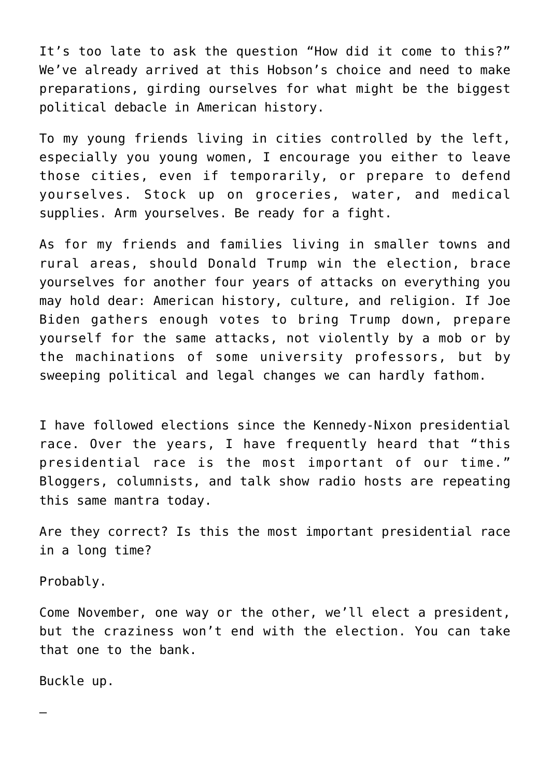It's too late to ask the question "How did it come to this?" We've already arrived at this Hobson's choice and need to make preparations, girding ourselves for what might be the biggest political debacle in American history.

To my young friends living in cities controlled by the left, especially you young women, I encourage you either to leave those cities, even if temporarily, or prepare to defend yourselves. Stock up on groceries, water, and medical supplies. Arm yourselves. Be ready for a fight.

As for my friends and families living in smaller towns and rural areas, should Donald Trump win the election, brace yourselves for another four years of attacks on everything you may hold dear: American history, culture, and religion. If Joe Biden gathers enough votes to bring Trump down, prepare yourself for the same attacks, not violently by a mob or by the machinations of some university professors, but by sweeping political and legal changes we can hardly fathom.

I have followed elections since the Kennedy-Nixon presidential race. Over the years, I have frequently heard that "this presidential race is the most important of our time." Bloggers, columnists, and talk show radio hosts are repeating this same mantra today.

Are they correct? Is this the most important presidential race in a long time?

Probably.

Come November, one way or the other, we'll elect a president, but the craziness won't end with the election. You can take that one to the bank.

Buckle up.

—